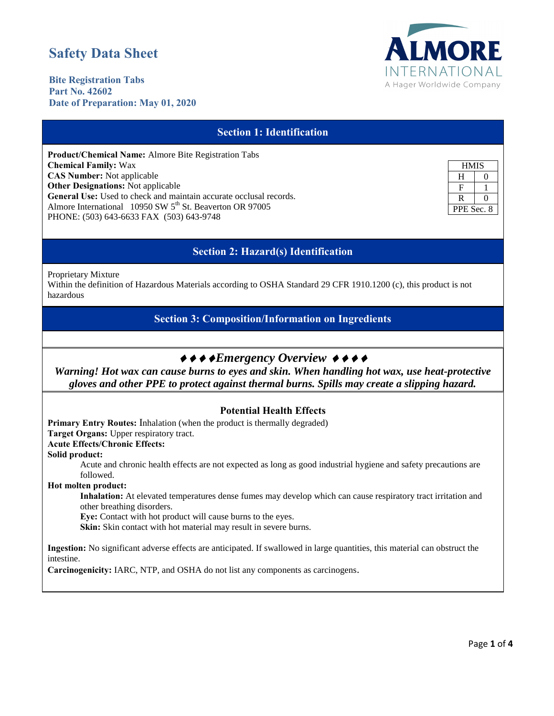# **Safety Data Sheet**



**Bite Registration Tabs Part No. 42602 Date of Preparation: May 01, 2020**

# **Section 1: Identification Product/Chemical Name:** Almore Bite Registration Tabs **Chemical Family:** Wax **CAS Number:** Not applicable **Other Designations:** Not applicable **General Use:** Used to check and maintain accurate occlusal records. Almore International 10950 SW 5<sup>th</sup> St. Beaverton OR 97005 PHONE: (503) 643-6633 FAX (503) 643-9748 **HMIS**  $H \qquad 0$  $F \mid 1$  $R \mid 0$ PPE Sec. 8 **Section 2: Hazard(s) Identification** Proprietary Mixture Within the definition of Hazardous Materials according to OSHA Standard 29 CFR 1910.1200 (c), this product is not hazardous **Section 3: Composition/Information on Ingredients**  $\leftrightarrow \leftrightarrow \bullet$ *Emergency Overview*  $\leftrightarrow \bullet \bullet$ *Warning! Hot wax can cause burns to eyes and skin. When handling hot wax, use heat-protective gloves and other PPE to protect against thermal burns. Spills may create a slipping hazard.*

### **Potential Health Effects**

**Primary Entry Routes:** Inhalation (when the product is thermally degraded) **Target Organs:** Upper respiratory tract. **Acute Effects/Chronic Effects:** 

**Solid product:** 

Acute and chronic health effects are not expected as long as good industrial hygiene and safety precautions are followed.

**Hot molten product:** 

**Inhalation:** At elevated temperatures dense fumes may develop which can cause respiratory tract irritation and other breathing disorders.

**Eye:** Contact with hot product will cause burns to the eyes.

**Skin:** Skin contact with hot material may result in severe burns.

**Ingestion:** No significant adverse effects are anticipated. If swallowed in large quantities, this material can obstruct the intestine.

**Carcinogenicity:** IARC, NTP, and OSHA do not list any components as carcinogens.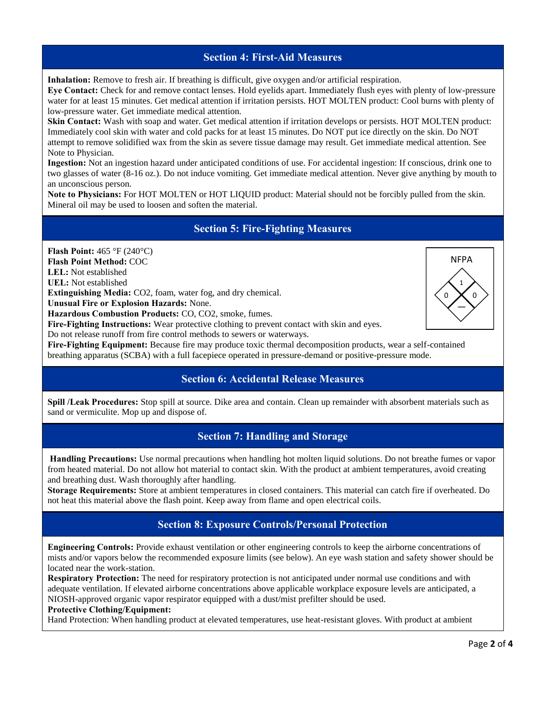### **Section 4: First-Aid Measures**

**Inhalation:** Remove to fresh air. If breathing is difficult, give oxygen and/or artificial respiration.

**Eye Contact:** Check for and remove contact lenses. Hold eyelids apart. Immediately flush eyes with plenty of low-pressure water for at least 15 minutes. Get medical attention if irritation persists. HOT MOLTEN product: Cool burns with plenty of low-pressure water. Get immediate medical attention.

**Skin Contact:** Wash with soap and water. Get medical attention if irritation develops or persists. HOT MOLTEN product: Immediately cool skin with water and cold packs for at least 15 minutes. Do NOT put ice directly on the skin. Do NOT attempt to remove solidified wax from the skin as severe tissue damage may result. Get immediate medical attention. See Note to Physician.

**Ingestion:** Not an ingestion hazard under anticipated conditions of use. For accidental ingestion: If conscious, drink one to two glasses of water (8-16 oz.). Do not induce vomiting. Get immediate medical attention. Never give anything by mouth to an unconscious person.

**Note to Physicians:** For HOT MOLTEN or HOT LIQUID product: Material should not be forcibly pulled from the skin. Mineral oil may be used to loosen and soften the material.

# **Section 5: Fire-Fighting Measures**

**Flash Point:** 465 °F (240°C)

**Flash Point Method:** COC

**LEL:** Not established

**UEL:** Not established

**Extinguishing Media:** CO2, foam, water fog, and dry chemical.

**Unusual Fire or Explosion Hazards:** None.

**Hazardous Combustion Products:** CO, CO2, smoke, fumes.

**Fire-Fighting Instructions:** Wear protective clothing to prevent contact with skin and eyes.

Do not release runoff from fire control methods to sewers or waterways.

**Fire-Fighting Equipment:** Because fire may produce toxic thermal decomposition products, wear a self-contained breathing apparatus (SCBA) with a full facepiece operated in pressure-demand or positive-pressure mode.

# **Section 6: Accidental Release Measures**

**Spill /Leak Procedures:** Stop spill at source. Dike area and contain. Clean up remainder with absorbent materials such as sand or vermiculite. Mop up and dispose of.

# **Section 7: Handling and Storage**

**Handling Precautions:** Use normal precautions when handling hot molten liquid solutions. Do not breathe fumes or vapor from heated material. Do not allow hot material to contact skin. With the product at ambient temperatures, avoid creating and breathing dust. Wash thoroughly after handling.

**Storage Requirements:** Store at ambient temperatures in closed containers. This material can catch fire if overheated. Do not heat this material above the flash point. Keep away from flame and open electrical coils.

# **Section 8: Exposure Controls/Personal Protection**

**Engineering Controls:** Provide exhaust ventilation or other engineering controls to keep the airborne concentrations of mists and/or vapors below the recommended exposure limits (see below). An eye wash station and safety shower should be located near the work-station.

**Respiratory Protection:** The need for respiratory protection is not anticipated under normal use conditions and with adequate ventilation. If elevated airborne concentrations above applicable workplace exposure levels are anticipated, a NIOSH-approved organic vapor respirator equipped with a dust/mist prefilter should be used.

#### **Protective Clothing/Equipment:**

Hand Protection: When handling product at elevated temperatures, use heat-resistant gloves. With product at ambient

1

**NFPA** 

—  $\Omega$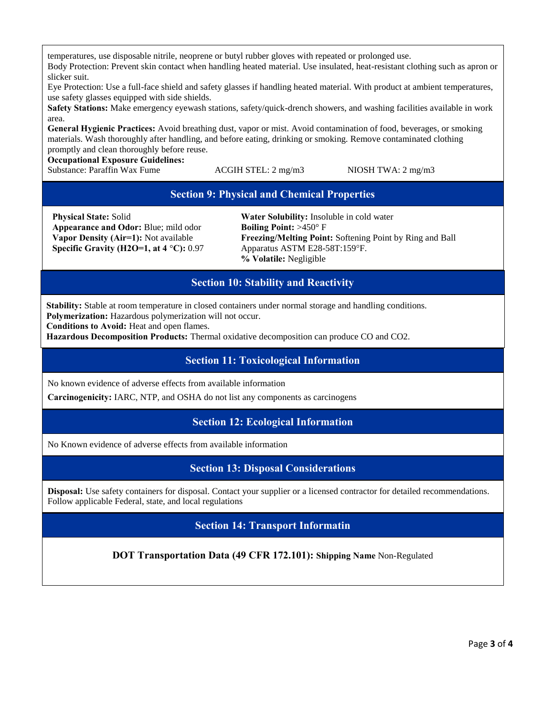temperatures, use disposable nitrile, neoprene or butyl rubber gloves with repeated or prolonged use. Body Protection: Prevent skin contact when handling heated material. Use insulated, heat-resistant clothing such as apron or slicker suit.

Eye Protection: Use a full-face shield and safety glasses if handling heated material. With product at ambient temperatures, use safety glasses equipped with side shields.

**Safety Stations:** Make emergency eyewash stations, safety/quick-drench showers, and washing facilities available in work area.

**General Hygienic Practices:** Avoid breathing dust, vapor or mist. Avoid contamination of food, beverages, or smoking materials. Wash thoroughly after handling, and before eating, drinking or smoking. Remove contaminated clothing promptly and clean thoroughly before reuse.

**Occupational Exposure Guidelines:** 

Substance: Paraffin Wax Fume ACGIH STEL: 2 mg/m3 NIOSH TWA: 2 mg/m3

# **Section 9: Physical and Chemical Properties**

**Physical State:** Solid **Appearance and Odor:** Blue; mild odor **Vapor Density (Air=1):** Not available **Specific Gravity (H2O=1, at 4** °**C):** 0.97

**Water Solubility:** Insoluble in cold water **Boiling Point:** >450° F **Freezing/Melting Point:** Softening Point by Ring and Ball Apparatus ASTM E28-58T:159°F. **% Volatile:** Negligible

# **Section 10: Stability and Reactivity**

**Stability:** Stable at room temperature in closed containers under normal storage and handling conditions. **Polymerization:** Hazardous polymerization will not occur.

**Conditions to Avoid:** Heat and open flames.

**Hazardous Decomposition Products:** Thermal oxidative decomposition can produce CO and CO2.

### **Section 11: Toxicological Information**

No known evidence of adverse effects from available information

**Carcinogenicity:** IARC, NTP, and OSHA do not list any components as carcinogens

### **Section 12: Ecological Information**

No Known evidence of adverse effects from available information

**Section 13: Disposal Considerations** 

**Disposal:** Use safety containers for disposal. Contact your supplier or a licensed contractor for detailed recommendations. Follow applicable Federal, state, and local regulations

### **Section 14: Transport Informatin**

**DOT Transportation Data (49 CFR 172.101): Shipping Name** Non-Regulated